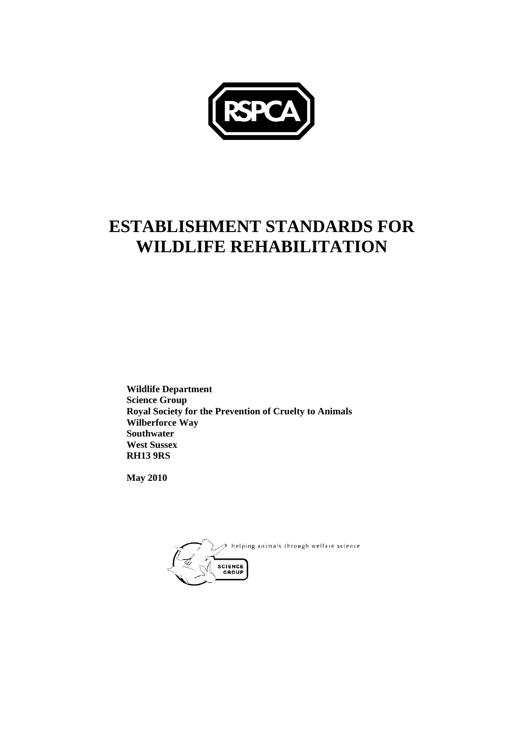

## **ESTABLISHMENT STANDARDS FOR WILDLIFE REHABILITATION**

**Wildlife Department Science Group Royal Society for the Prevention of Cruelty to Animals Wilberforce Way Southwater West Sussex RH13 9RS** 

**May 2010** 

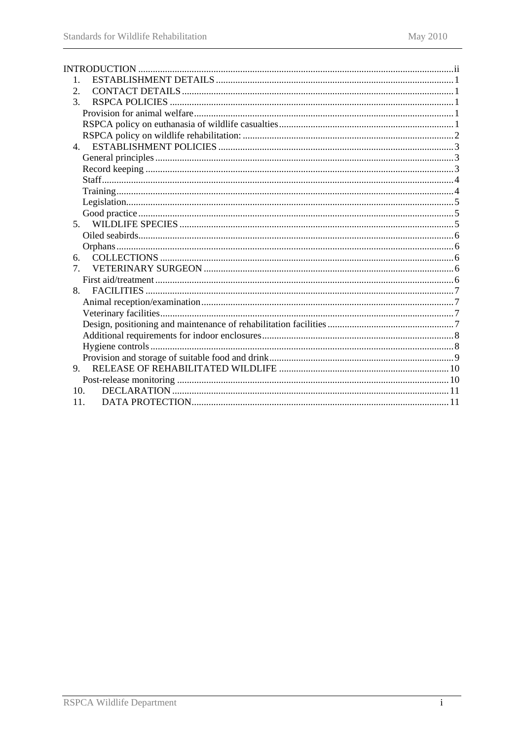| 2.              |  |
|-----------------|--|
| 3.              |  |
|                 |  |
|                 |  |
|                 |  |
| $\overline{4}$  |  |
|                 |  |
|                 |  |
|                 |  |
|                 |  |
|                 |  |
|                 |  |
| 5 <sub>1</sub>  |  |
|                 |  |
|                 |  |
| б.              |  |
| $\tau$          |  |
|                 |  |
| 8.              |  |
|                 |  |
|                 |  |
|                 |  |
|                 |  |
|                 |  |
|                 |  |
| 9               |  |
|                 |  |
| 10 <sub>1</sub> |  |
| 11.             |  |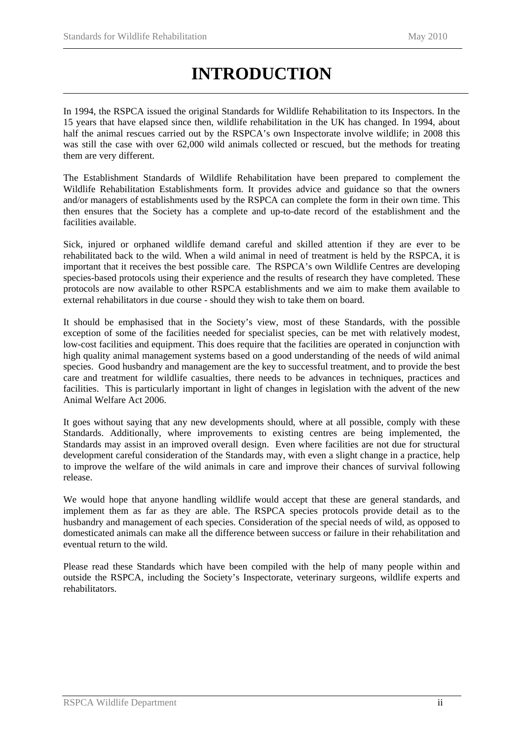# **INTRODUCTION**

<span id="page-3-0"></span>In 1994, the RSPCA issued the original Standards for Wildlife Rehabilitation to its Inspectors. In the 15 years that have elapsed since then, wildlife rehabilitation in the UK has changed. In 1994, about half the animal rescues carried out by the RSPCA's own Inspectorate involve wildlife; in 2008 this was still the case with over 62,000 wild animals collected or rescued, but the methods for treating them are very different.

The Establishment Standards of Wildlife Rehabilitation have been prepared to complement the Wildlife Rehabilitation Establishments form. It provides advice and guidance so that the owners and/or managers of establishments used by the RSPCA can complete the form in their own time. This then ensures that the Society has a complete and up-to-date record of the establishment and the facilities available.

Sick, injured or orphaned wildlife demand careful and skilled attention if they are ever to be rehabilitated back to the wild. When a wild animal in need of treatment is held by the RSPCA, it is important that it receives the best possible care. The RSPCA's own Wildlife Centres are developing species-based protocols using their experience and the results of research they have completed. These protocols are now available to other RSPCA establishments and we aim to make them available to external rehabilitators in due course - should they wish to take them on board.

It should be emphasised that in the Society's view, most of these Standards, with the possible exception of some of the facilities needed for specialist species, can be met with relatively modest, low-cost facilities and equipment. This does require that the facilities are operated in conjunction with high quality animal management systems based on a good understanding of the needs of wild animal species. Good husbandry and management are the key to successful treatment, and to provide the best care and treatment for wildlife casualties, there needs to be advances in techniques, practices and facilities. This is particularly important in light of changes in legislation with the advent of the new Animal Welfare Act 2006.

It goes without saying that any new developments should, where at all possible, comply with these Standards. Additionally, where improvements to existing centres are being implemented, the Standards may assist in an improved overall design. Even where facilities are not due for structural development careful consideration of the Standards may, with even a slight change in a practice, help to improve the welfare of the wild animals in care and improve their chances of survival following release.

We would hope that anyone handling wildlife would accept that these are general standards, and implement them as far as they are able. The RSPCA species protocols provide detail as to the husbandry and management of each species. Consideration of the special needs of wild, as opposed to domesticated animals can make all the difference between success or failure in their rehabilitation and eventual return to the wild.

Please read these Standards which have been compiled with the help of many people within and outside the RSPCA, including the Society's Inspectorate, veterinary surgeons, wildlife experts and rehabilitators.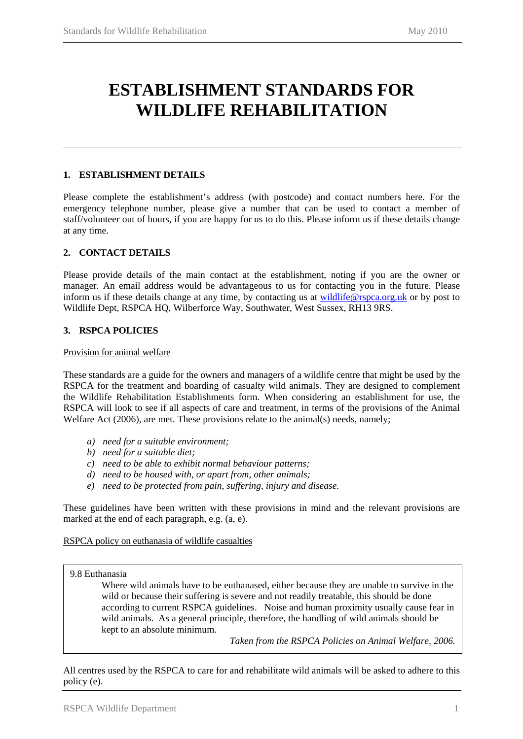## <span id="page-4-0"></span>**ESTABLISHMENT STANDARDS FOR WILDLIFE REHABILITATION**

#### **1. ESTABLISHMENT DETAILS**

Please complete the establishment's address (with postcode) and contact numbers here. For the emergency telephone number, please give a number that can be used to contact a member of staff/volunteer out of hours, if you are happy for us to do this. Please inform us if these details change at any time.

#### **2. CONTACT DETAILS**

Please provide details of the main contact at the establishment, noting if you are the owner or manager. An email address would be advantageous to us for contacting you in the future. Please inform us if these details change at any time, by contacting us at [wildlife@rspca.org.uk](mailto:wildlife@rspca.org.uk) or by post to Wildlife Dept, RSPCA HQ, Wilberforce Way, Southwater, West Sussex, RH13 9RS.

#### **3. RSPCA POLICIES**

Provision for animal welfare

These standards are a guide for the owners and managers of a wildlife centre that might be used by the RSPCA for the treatment and boarding of casualty wild animals. They are designed to complement the Wildlife Rehabilitation Establishments form. When considering an establishment for use, the RSPCA will look to see if all aspects of care and treatment, in terms of the provisions of the Animal Welfare Act (2006)*,* are met. These provisions relate to the animal(s) needs, namely;

- *a) need for a suitable environment;*
- *b) need for a suitable diet;*
- *c) need to be able to exhibit normal behaviour patterns;*
- *d) need to be housed with, or apart from, other animals;*
- *e) need to be protected from pain, suffering, injury and disease.*

These guidelines have been written with these provisions in mind and the relevant provisions are marked at the end of each paragraph, e.g. (a, e).

#### RSPCA policy on euthanasia of wildlife casualties

#### 9.8 Euthanasia

Where wild animals have to be euthanased, either because they are unable to survive in the wild or because their suffering is severe and not readily treatable, this should be done according to current RSPCA guidelines. Noise and human proximity usually cause fear in wild animals. As a general principle, therefore, the handling of wild animals should be kept to an absolute minimum.

*Taken from the RSPCA Policies on Animal Welfare, 2006.*

All centres used by the RSPCA to care for and rehabilitate wild animals will be asked to adhere to this policy (e).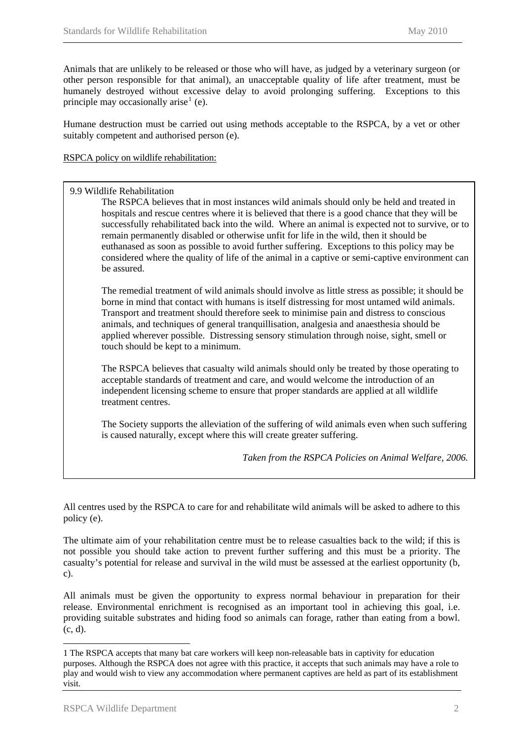<span id="page-5-0"></span>Animals that are unlikely to be released or those who will have, as judged by a veterinary surgeon (or other person responsible for that animal), an unacceptable quality of life after treatment, must be humanely destroyed without excessive delay to avoid prolonging suffering. Exceptions to this principle may occasionally arise<sup>[1](#page-5-1)</sup> (e).

Humane destruction must be carried out using methods acceptable to the RSPCA, by a vet or other suitably competent and authorised person (e).

RSPCA policy on wildlife rehabilitation:

#### 9.9 Wildlife Rehabilitation

 The RSPCA believes that in most instances wild animals should only be held and treated in hospitals and rescue centres where it is believed that there is a good chance that they will be successfully rehabilitated back into the wild. Where an animal is expected not to survive, or to remain permanently disabled or otherwise unfit for life in the wild, then it should be euthanased as soon as possible to avoid further suffering. Exceptions to this policy may be considered where the quality of life of the animal in a captive or semi-captive environment can be assured.

The remedial treatment of wild animals should involve as little stress as possible; it should be borne in mind that contact with humans is itself distressing for most untamed wild animals. Transport and treatment should therefore seek to minimise pain and distress to conscious animals, and techniques of general tranquillisation, analgesia and anaesthesia should be applied wherever possible. Distressing sensory stimulation through noise, sight, smell or touch should be kept to a minimum.

The RSPCA believes that casualty wild animals should only be treated by those operating to acceptable standards of treatment and care, and would welcome the introduction of an independent licensing scheme to ensure that proper standards are applied at all wildlife treatment centres.

The Society supports the alleviation of the suffering of wild animals even when such suffering is caused naturally, except where this will create greater suffering.

*Taken from the RSPCA Policies on Animal Welfare, 2006.*

All centres used by the RSPCA to care for and rehabilitate wild animals will be asked to adhere to this policy (e).

The ultimate aim of your rehabilitation centre must be to release casualties back to the wild; if this is not possible you should take action to prevent further suffering and this must be a priority. The casualty's potential for release and survival in the wild must be assessed at the earliest opportunity (b, c).

All animals must be given the opportunity to express normal behaviour in preparation for their release. Environmental enrichment is recognised as an important tool in achieving this goal, i.e. providing suitable substrates and hiding food so animals can forage, rather than eating from a bowl. (c, d).

l

<span id="page-5-1"></span><sup>1</sup> The RSPCA accepts that many bat care workers will keep non-releasable bats in captivity for education purposes. Although the RSPCA does not agree with this practice, it accepts that such animals may have a role to play and would wish to view any accommodation where permanent captives are held as part of its establishment visit.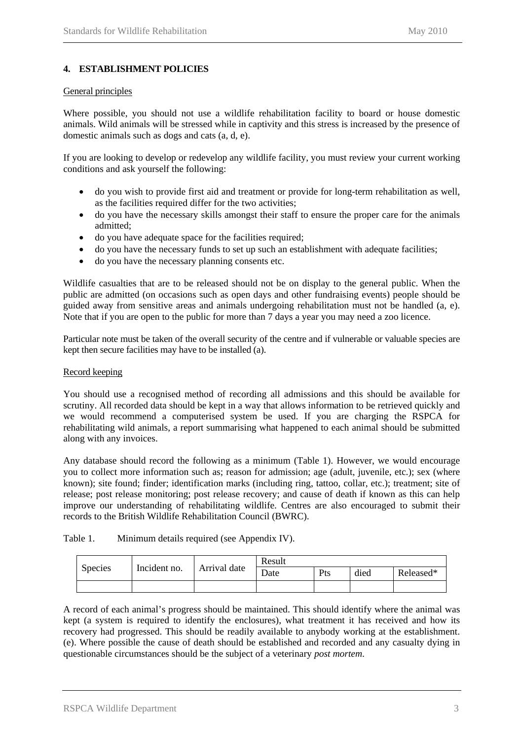#### <span id="page-6-0"></span>**4. ESTABLISHMENT POLICIES**

#### General principles

Where possible, you should not use a wildlife rehabilitation facility to board or house domestic animals. Wild animals will be stressed while in captivity and this stress is increased by the presence of domestic animals such as dogs and cats (a, d, e).

If you are looking to develop or redevelop any wildlife facility, you must review your current working conditions and ask yourself the following:

- do you wish to provide first aid and treatment or provide for long-term rehabilitation as well, as the facilities required differ for the two activities;
- do you have the necessary skills amongst their staff to ensure the proper care for the animals admitted;
- do you have adequate space for the facilities required;
- do you have the necessary funds to set up such an establishment with adequate facilities;
- do you have the necessary planning consents etc.

Wildlife casualties that are to be released should not be on display to the general public. When the public are admitted (on occasions such as open days and other fundraising events) people should be guided away from sensitive areas and animals undergoing rehabilitation must not be handled (a, e). Note that if you are open to the public for more than 7 days a year you may need a zoo licence.

Particular note must be taken of the overall security of the centre and if vulnerable or valuable species are kept then secure facilities may have to be installed (a).

#### Record keeping

You should use a recognised method of recording all admissions and this should be available for scrutiny. All recorded data should be kept in a way that allows information to be retrieved quickly and we would recommend a computerised system be used. If you are charging the RSPCA for rehabilitating wild animals, a report summarising what happened to each animal should be submitted along with any invoices.

Any database should record the following as a minimum (Table 1). However, we would encourage you to collect more information such as; reason for admission; age (adult, juvenile, etc.); sex (where known); site found; finder; identification marks (including ring, tattoo, collar, etc.); treatment; site of release; post release monitoring; post release recovery; and cause of death if known as this can help improve our understanding of rehabilitating wildlife. Centres are also encouraged to submit their records to the British Wildlife Rehabilitation Council (BWRC).

| Table 1. | Minimum details required (see Appendix IV). |  |  |
|----------|---------------------------------------------|--|--|
|----------|---------------------------------------------|--|--|

| <b>Species</b> | Incident no. | Arrival date | Result |     |      |           |
|----------------|--------------|--------------|--------|-----|------|-----------|
|                |              |              | Date   | Pts | died | Released* |
|                |              |              |        |     |      |           |

A record of each animal's progress should be maintained. This should identify where the animal was kept (a system is required to identify the enclosures), what treatment it has received and how its recovery had progressed. This should be readily available to anybody working at the establishment. (e). Where possible the cause of death should be established and recorded and any casualty dying in questionable circumstances should be the subject of a veterinary *post mortem*.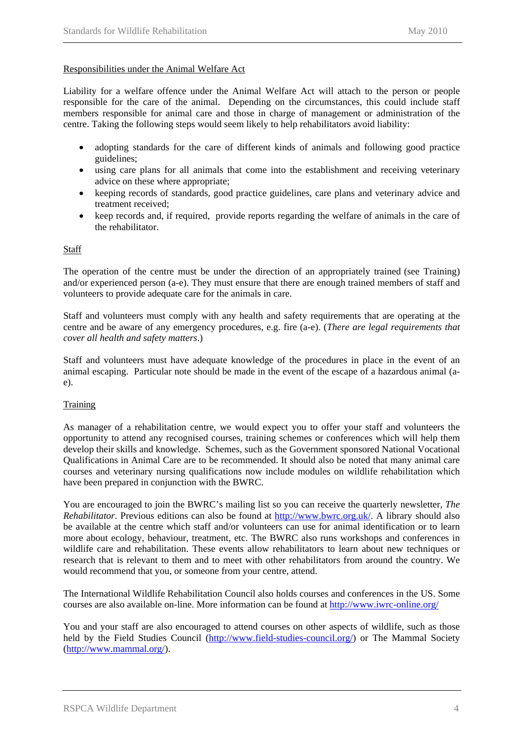#### <span id="page-7-0"></span>Responsibilities under the Animal Welfare Act

Liability for a welfare offence under the Animal Welfare Act will attach to the person or people responsible for the care of the animal. Depending on the circumstances, this could include staff members responsible for animal care and those in charge of management or administration of the centre. Taking the following steps would seem likely to help rehabilitators avoid liability:

- adopting standards for the care of different kinds of animals and following good practice guidelines;
- using care plans for all animals that come into the establishment and receiving veterinary advice on these where appropriate;
- keeping records of standards, good practice guidelines, care plans and veterinary advice and treatment received;
- keep records and, if required, provide reports regarding the welfare of animals in the care of the rehabilitator.

#### **Staff**

The operation of the centre must be under the direction of an appropriately trained (see Training) and/or experienced person (a-e). They must ensure that there are enough trained members of staff and volunteers to provide adequate care for the animals in care.

Staff and volunteers must comply with any health and safety requirements that are operating at the centre and be aware of any emergency procedures, e.g. fire (a-e). (*There are legal requirements that cover all health and safety matters*.)

Staff and volunteers must have adequate knowledge of the procedures in place in the event of an animal escaping. Particular note should be made in the event of the escape of a hazardous animal (ae).

#### **Training**

As manager of a rehabilitation centre, we would expect you to offer your staff and volunteers the opportunity to attend any recognised courses, training schemes or conferences which will help them develop their skills and knowledge. Schemes, such as the Government sponsored National Vocational Qualifications in Animal Care are to be recommended. It should also be noted that many animal care courses and veterinary nursing qualifications now include modules on wildlife rehabilitation which have been prepared in conjunction with the BWRC.

You are encouraged to join the BWRC's mailing list so you can receive the quarterly newsletter, *The Rehabilitator*. Previous editions can also be found at [http://www.bwrc.org.uk/.](http://www.bwrc.org.uk/) A library should also be available at the centre which staff and/or volunteers can use for animal identification or to learn more about ecology, behaviour, treatment, etc. The BWRC also runs workshops and conferences in wildlife care and rehabilitation. These events allow rehabilitators to learn about new techniques or research that is relevant to them and to meet with other rehabilitators from around the country. We would recommend that you, or someone from your centre, attend.

The International Wildlife Rehabilitation Council also holds courses and conferences in the US. Some courses are also available on-line. More information can be found at<http://www.iwrc-online.org/>

You and your staff are also encouraged to attend courses on other aspects of wildlife, such as those held by the Field Studies Council ([http://www.field-studies-council.org/\)](http://www.field-studies-council.org/) or The Mammal Society ([http://www.mammal.org/](http://www.abdn.ac.uk/mammal/)).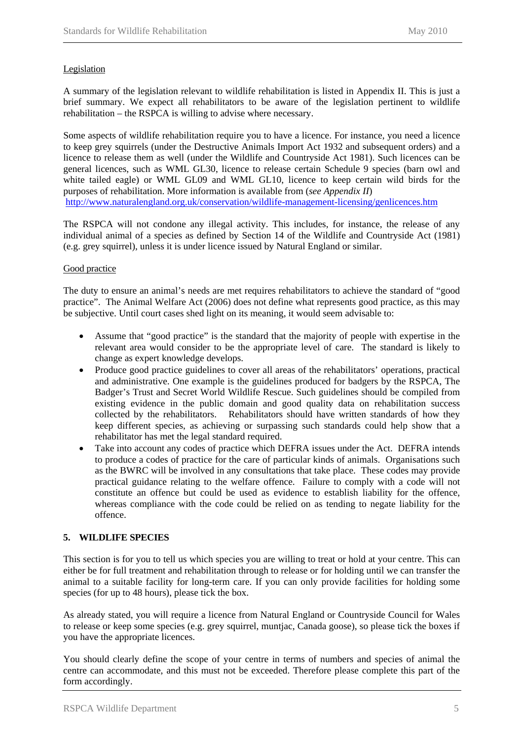#### <span id="page-8-0"></span>**Legislation**

A summary of the legislation relevant to wildlife rehabilitation is listed in Appendix II. This is just a brief summary. We expect all rehabilitators to be aware of the legislation pertinent to wildlife rehabilitation – the RSPCA is willing to advise where necessary.

Some aspects of wildlife rehabilitation require you to have a licence. For instance, you need a licence to keep grey squirrels (under the Destructive Animals Import Act 1932 and subsequent orders) and a licence to release them as well (under the Wildlife and Countryside Act 1981). Such licences can be general licences, such as WML GL30, licence to release certain Schedule 9 species (barn owl and white tailed eagle) or WML GL09 and WML GL10, licence to keep certain wild birds for the purposes of rehabilitation. More information is available from (*see Appendix II*) <http://www.naturalengland.org.uk/conservation/wildlife-management-licensing/genlicences.htm>

The RSPCA will not condone any illegal activity. This includes, for instance, the release of any individual animal of a species as defined by Section 14 of the Wildlife and Countryside Act (1981) (e.g. grey squirrel), unless it is under licence issued by Natural England or similar.

#### Good practice

The duty to ensure an animal's needs are met requires rehabilitators to achieve the standard of "good practice". The Animal Welfare Act (2006) does not define what represents good practice, as this may be subjective. Until court cases shed light on its meaning, it would seem advisable to:

- Assume that "good practice" is the standard that the majority of people with expertise in the relevant area would consider to be the appropriate level of care. The standard is likely to change as expert knowledge develops.
- Produce good practice guidelines to cover all areas of the rehabilitators' operations, practical and administrative. One example is the guidelines produced for badgers by the RSPCA, The Badger's Trust and Secret World Wildlife Rescue. Such guidelines should be compiled from existing evidence in the public domain and good quality data on rehabilitation success collected by the rehabilitators. Rehabilitators should have written standards of how they keep different species, as achieving or surpassing such standards could help show that a rehabilitator has met the legal standard required.
- Take into account any codes of practice which DEFRA issues under the Act. DEFRA intends to produce a codes of practice for the care of particular kinds of animals. Organisations such as the BWRC will be involved in any consultations that take place. These codes may provide practical guidance relating to the welfare offence. Failure to comply with a code will not constitute an offence but could be used as evidence to establish liability for the offence, whereas compliance with the code could be relied on as tending to negate liability for the offence.

#### **5. WILDLIFE SPECIES**

This section is for you to tell us which species you are willing to treat or hold at your centre. This can either be for full treatment and rehabilitation through to release or for holding until we can transfer the animal to a suitable facility for long-term care. If you can only provide facilities for holding some species (for up to 48 hours), please tick the box.

As already stated, you will require a licence from Natural England or Countryside Council for Wales to release or keep some species (e.g. grey squirrel, muntjac, Canada goose), so please tick the boxes if you have the appropriate licences.

You should clearly define the scope of your centre in terms of numbers and species of animal the centre can accommodate, and this must not be exceeded. Therefore please complete this part of the form accordingly.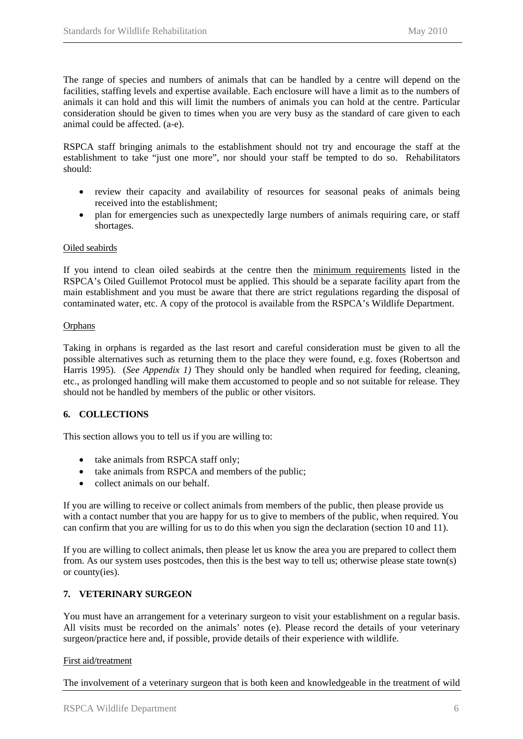<span id="page-9-0"></span>The range of species and numbers of animals that can be handled by a centre will depend on the facilities, staffing levels and expertise available. Each enclosure will have a limit as to the numbers of animals it can hold and this will limit the numbers of animals you can hold at the centre. Particular consideration should be given to times when you are very busy as the standard of care given to each animal could be affected. (a-e).

RSPCA staff bringing animals to the establishment should not try and encourage the staff at the establishment to take "just one more", nor should your staff be tempted to do so. Rehabilitators should:

- review their capacity and availability of resources for seasonal peaks of animals being received into the establishment;
- plan for emergencies such as unexpectedly large numbers of animals requiring care, or staff shortages.

#### Oiled seabirds

If you intend to clean oiled seabirds at the centre then the minimum requirements listed in the RSPCA's Oiled Guillemot Protocol must be applied. This should be a separate facility apart from the main establishment and you must be aware that there are strict regulations regarding the disposal of contaminated water, etc. A copy of the protocol is available from the RSPCA's Wildlife Department.

#### **Orphans**

Taking in orphans is regarded as the last resort and careful consideration must be given to all the possible alternatives such as returning them to the place they were found, e.g. foxes (Robertson and Harris 1995). (*See Appendix 1)* They should only be handled when required for feeding, cleaning, etc., as prolonged handling will make them accustomed to people and so not suitable for release. They should not be handled by members of the public or other visitors.

#### **6. COLLECTIONS**

This section allows you to tell us if you are willing to:

- take animals from RSPCA staff only;
- take animals from RSPCA and members of the public;
- collect animals on our behalf.

If you are willing to receive or collect animals from members of the public, then please provide us with a contact number that you are happy for us to give to members of the public, when required. You can confirm that you are willing for us to do this when you sign the declaration (section 10 and 11).

If you are willing to collect animals, then please let us know the area you are prepared to collect them from. As our system uses postcodes, then this is the best way to tell us; otherwise please state town(s) or county(ies).

#### **7. VETERINARY SURGEON**

You must have an arrangement for a veterinary surgeon to visit your establishment on a regular basis. All visits must be recorded on the animals' notes (e). Please record the details of your veterinary surgeon/practice here and, if possible, provide details of their experience with wildlife.

#### First aid/treatment

The involvement of a veterinary surgeon that is both keen and knowledgeable in the treatment of wild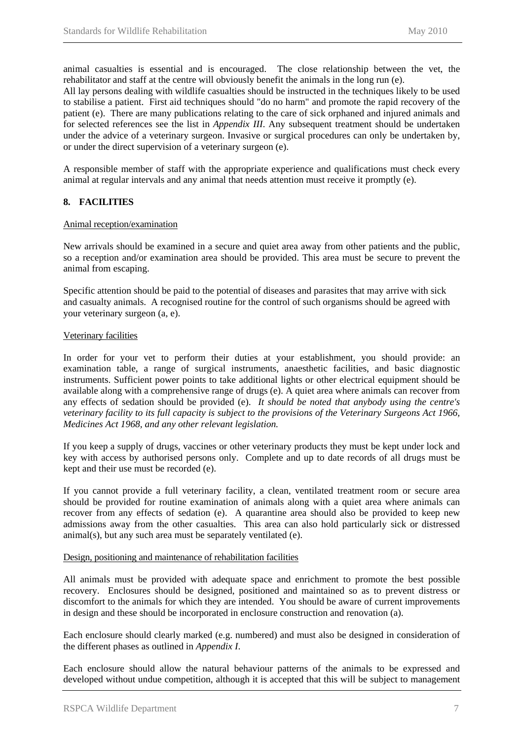<span id="page-10-0"></span>animal casualties is essential and is encouraged. The close relationship between the vet, the rehabilitator and staff at the centre will obviously benefit the animals in the long run (e).

All lay persons dealing with wildlife casualties should be instructed in the techniques likely to be used to stabilise a patient. First aid techniques should "do no harm" and promote the rapid recovery of the patient (e). There are many publications relating to the care of sick orphaned and injured animals and for selected references see the list in *Appendix III*. Any subsequent treatment should be undertaken under the advice of a veterinary surgeon. Invasive or surgical procedures can only be undertaken by, or under the direct supervision of a veterinary surgeon (e).

A responsible member of staff with the appropriate experience and qualifications must check every animal at regular intervals and any animal that needs attention must receive it promptly (e).

#### **8. FACILITIES**

#### Animal reception/examination

New arrivals should be examined in a secure and quiet area away from other patients and the public, so a reception and/or examination area should be provided. This area must be secure to prevent the animal from escaping.

Specific attention should be paid to the potential of diseases and parasites that may arrive with sick and casualty animals. A recognised routine for the control of such organisms should be agreed with your veterinary surgeon (a, e).

#### Veterinary facilities

In order for your vet to perform their duties at your establishment, you should provide: an examination table, a range of surgical instruments, anaesthetic facilities, and basic diagnostic instruments. Sufficient power points to take additional lights or other electrical equipment should be available along with a comprehensive range of drugs (e). A quiet area where animals can recover from any effects of sedation should be provided (e). *It should be noted that anybody using the centre's veterinary facility to its full capacity is subject to the provisions of the Veterinary Surgeons Act 1966, Medicines Act 1968, and any other relevant legislation.*

If you keep a supply of drugs, vaccines or other veterinary products they must be kept under lock and key with access by authorised persons only. Complete and up to date records of all drugs must be kept and their use must be recorded (e).

If you cannot provide a full veterinary facility, a clean, ventilated treatment room or secure area should be provided for routine examination of animals along with a quiet area where animals can recover from any effects of sedation (e). A quarantine area should also be provided to keep new admissions away from the other casualties. This area can also hold particularly sick or distressed animal(s), but any such area must be separately ventilated (e).

#### Design, positioning and maintenance of rehabilitation facilities

All animals must be provided with adequate space and enrichment to promote the best possible recovery. Enclosures should be designed, positioned and maintained so as to prevent distress or discomfort to the animals for which they are intended. You should be aware of current improvements in design and these should be incorporated in enclosure construction and renovation (a).

Each enclosure should clearly marked (e.g. numbered) and must also be designed in consideration of the different phases as outlined in *Appendix I*.

Each enclosure should allow the natural behaviour patterns of the animals to be expressed and developed without undue competition, although it is accepted that this will be subject to management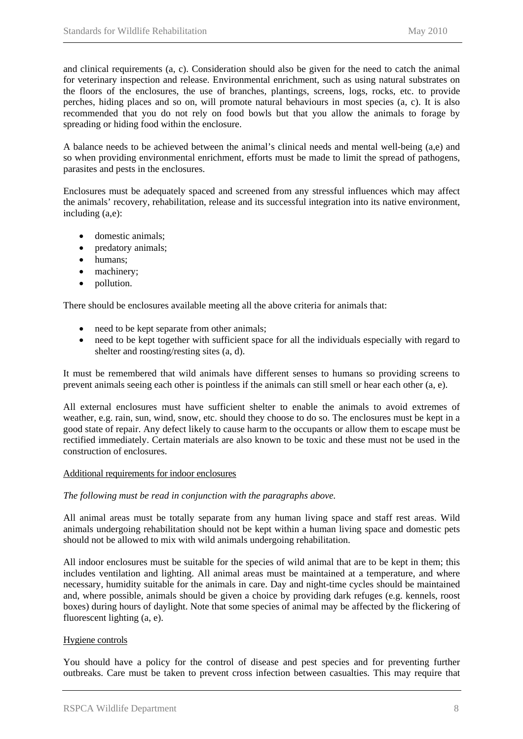<span id="page-11-0"></span>and clinical requirements (a, c). Consideration should also be given for the need to catch the animal for veterinary inspection and release. Environmental enrichment, such as using natural substrates on the floors of the enclosures, the use of branches, plantings, screens, logs, rocks, etc. to provide perches, hiding places and so on, will promote natural behaviours in most species (a, c). It is also recommended that you do not rely on food bowls but that you allow the animals to forage by spreading or hiding food within the enclosure.

A balance needs to be achieved between the animal's clinical needs and mental well-being (a,e) and so when providing environmental enrichment, efforts must be made to limit the spread of pathogens, parasites and pests in the enclosures.

Enclosures must be adequately spaced and screened from any stressful influences which may affect the animals' recovery, rehabilitation, release and its successful integration into its native environment, including (a,e):

- domestic animals:
- predatory animals;
- humans;
- machinery;
- pollution.

There should be enclosures available meeting all the above criteria for animals that:

- need to be kept separate from other animals;
- need to be kept together with sufficient space for all the individuals especially with regard to shelter and roosting/resting sites (a, d).

It must be remembered that wild animals have different senses to humans so providing screens to prevent animals seeing each other is pointless if the animals can still smell or hear each other (a, e).

All external enclosures must have sufficient shelter to enable the animals to avoid extremes of weather, e.g. rain, sun, wind, snow, etc. should they choose to do so. The enclosures must be kept in a good state of repair. Any defect likely to cause harm to the occupants or allow them to escape must be rectified immediately. Certain materials are also known to be toxic and these must not be used in the construction of enclosures.

#### Additional requirements for indoor enclosures

#### *The following must be read in conjunction with the paragraphs above.*

All animal areas must be totally separate from any human living space and staff rest areas. Wild animals undergoing rehabilitation should not be kept within a human living space and domestic pets should not be allowed to mix with wild animals undergoing rehabilitation.

All indoor enclosures must be suitable for the species of wild animal that are to be kept in them; this includes ventilation and lighting. All animal areas must be maintained at a temperature, and where necessary, humidity suitable for the animals in care. Day and night-time cycles should be maintained and, where possible, animals should be given a choice by providing dark refuges (e.g. kennels, roost boxes) during hours of daylight. Note that some species of animal may be affected by the flickering of fluorescent lighting (a, e).

#### Hygiene controls

You should have a policy for the control of disease and pest species and for preventing further outbreaks. Care must be taken to prevent cross infection between casualties. This may require that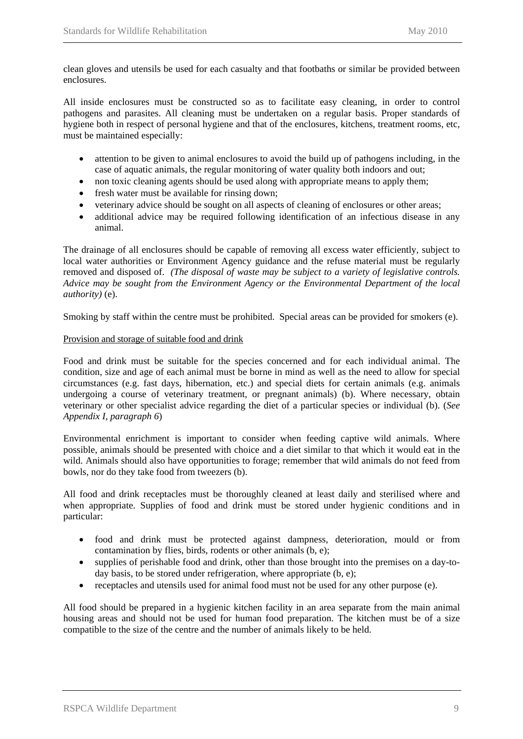<span id="page-12-0"></span>clean gloves and utensils be used for each casualty and that footbaths or similar be provided between enclosures.

All inside enclosures must be constructed so as to facilitate easy cleaning, in order to control pathogens and parasites. All cleaning must be undertaken on a regular basis. Proper standards of hygiene both in respect of personal hygiene and that of the enclosures, kitchens, treatment rooms, etc, must be maintained especially:

- attention to be given to animal enclosures to avoid the build up of pathogens including, in the case of aquatic animals, the regular monitoring of water quality both indoors and out;
- non toxic cleaning agents should be used along with appropriate means to apply them;
- fresh water must be available for rinsing down;
- veterinary advice should be sought on all aspects of cleaning of enclosures or other areas;
- additional advice may be required following identification of an infectious disease in any animal.

The drainage of all enclosures should be capable of removing all excess water efficiently, subject to local water authorities or Environment Agency guidance and the refuse material must be regularly removed and disposed of. *(The disposal of waste may be subject to a variety of legislative controls. Advice may be sought from the Environment Agency or the Environmental Department of the local authority)* (e).

Smoking by staff within the centre must be prohibited. Special areas can be provided for smokers (e).

#### Provision and storage of suitable food and drink

Food and drink must be suitable for the species concerned and for each individual animal. The condition, size and age of each animal must be borne in mind as well as the need to allow for special circumstances (e.g. fast days, hibernation, etc.) and special diets for certain animals (e.g. animals undergoing a course of veterinary treatment, or pregnant animals) (b). Where necessary, obtain veterinary or other specialist advice regarding the diet of a particular species or individual (b). (*See Appendix I, paragraph 6*)

Environmental enrichment is important to consider when feeding captive wild animals. Where possible, animals should be presented with choice and a diet similar to that which it would eat in the wild. Animals should also have opportunities to forage; remember that wild animals do not feed from bowls, nor do they take food from tweezers (b).

All food and drink receptacles must be thoroughly cleaned at least daily and sterilised where and when appropriate. Supplies of food and drink must be stored under hygienic conditions and in particular:

- food and drink must be protected against dampness, deterioration, mould or from contamination by flies, birds, rodents or other animals (b, e);
- supplies of perishable food and drink, other than those brought into the premises on a day-today basis, to be stored under refrigeration, where appropriate (b, e);
- receptacles and utensils used for animal food must not be used for any other purpose (e).

All food should be prepared in a hygienic kitchen facility in an area separate from the main animal housing areas and should not be used for human food preparation. The kitchen must be of a size compatible to the size of the centre and the number of animals likely to be held.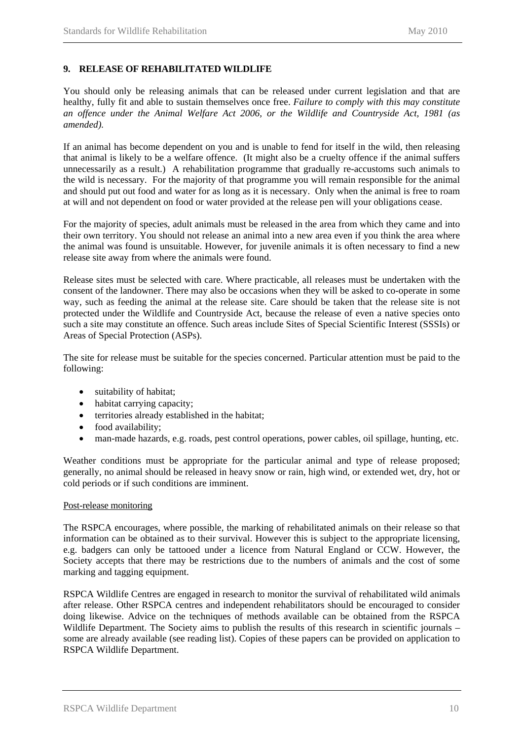#### <span id="page-13-0"></span>**9. RELEASE OF REHABILITATED WILDLIFE**

You should only be releasing animals that can be released under current legislation and that are healthy, fully fit and able to sustain themselves once free. *Failure to comply with this may constitute an offence under the Animal Welfare Act 2006, or the Wildlife and Countryside Act, 1981 (as amended).*

If an animal has become dependent on you and is unable to fend for itself in the wild, then releasing that animal is likely to be a welfare offence. (It might also be a cruelty offence if the animal suffers unnecessarily as a result.) A rehabilitation programme that gradually re-accustoms such animals to the wild is necessary. For the majority of that programme you will remain responsible for the animal and should put out food and water for as long as it is necessary. Only when the animal is free to roam at will and not dependent on food or water provided at the release pen will your obligations cease.

For the majority of species, adult animals must be released in the area from which they came and into their own territory. You should not release an animal into a new area even if you think the area where the animal was found is unsuitable. However, for juvenile animals it is often necessary to find a new release site away from where the animals were found.

Release sites must be selected with care. Where practicable, all releases must be undertaken with the consent of the landowner. There may also be occasions when they will be asked to co-operate in some way, such as feeding the animal at the release site. Care should be taken that the release site is not protected under the Wildlife and Countryside Act, because the release of even a native species onto such a site may constitute an offence. Such areas include Sites of Special Scientific Interest (SSSIs) or Areas of Special Protection (ASPs).

The site for release must be suitable for the species concerned. Particular attention must be paid to the following:

- suitability of habitat;
- habitat carrying capacity;
- territories already established in the habitat;
- food availability;
- man-made hazards, e.g. roads, pest control operations, power cables, oil spillage, hunting, etc.

Weather conditions must be appropriate for the particular animal and type of release proposed; generally, no animal should be released in heavy snow or rain, high wind, or extended wet, dry, hot or cold periods or if such conditions are imminent.

#### Post-release monitoring

The RSPCA encourages, where possible, the marking of rehabilitated animals on their release so that information can be obtained as to their survival. However this is subject to the appropriate licensing, e.g. badgers can only be tattooed under a licence from Natural England or CCW. However, the Society accepts that there may be restrictions due to the numbers of animals and the cost of some marking and tagging equipment.

RSPCA Wildlife Centres are engaged in research to monitor the survival of rehabilitated wild animals after release. Other RSPCA centres and independent rehabilitators should be encouraged to consider doing likewise. Advice on the techniques of methods available can be obtained from the RSPCA Wildlife Department. The Society aims to publish the results of this research in scientific journals – some are already available (see reading list). Copies of these papers can be provided on application to RSPCA Wildlife Department.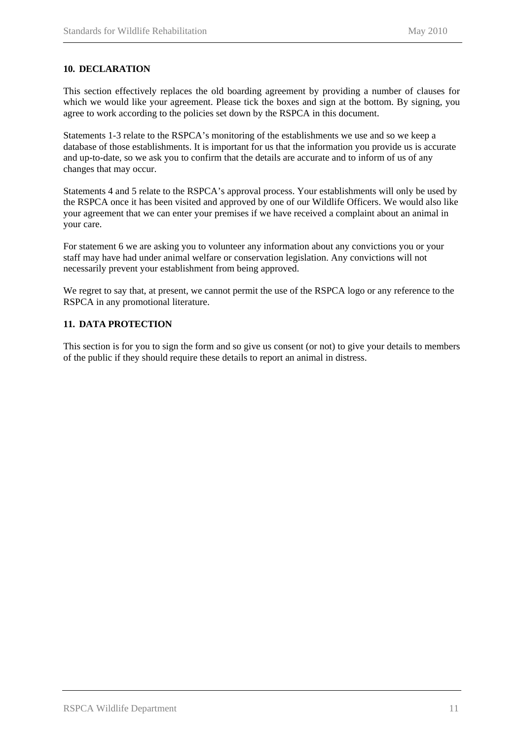#### <span id="page-14-0"></span>**10. DECLARATION**

This section effectively replaces the old boarding agreement by providing a number of clauses for which we would like your agreement. Please tick the boxes and sign at the bottom. By signing, you agree to work according to the policies set down by the RSPCA in this document.

Statements 1-3 relate to the RSPCA's monitoring of the establishments we use and so we keep a database of those establishments. It is important for us that the information you provide us is accurate and up-to-date, so we ask you to confirm that the details are accurate and to inform of us of any changes that may occur.

Statements 4 and 5 relate to the RSPCA's approval process. Your establishments will only be used by the RSPCA once it has been visited and approved by one of our Wildlife Officers. We would also like your agreement that we can enter your premises if we have received a complaint about an animal in your care.

For statement 6 we are asking you to volunteer any information about any convictions you or your staff may have had under animal welfare or conservation legislation. Any convictions will not necessarily prevent your establishment from being approved.

We regret to say that, at present, we cannot permit the use of the RSPCA logo or any reference to the RSPCA in any promotional literature.

#### **11. DATA PROTECTION**

This section is for you to sign the form and so give us consent (or not) to give your details to members of the public if they should require these details to report an animal in distress.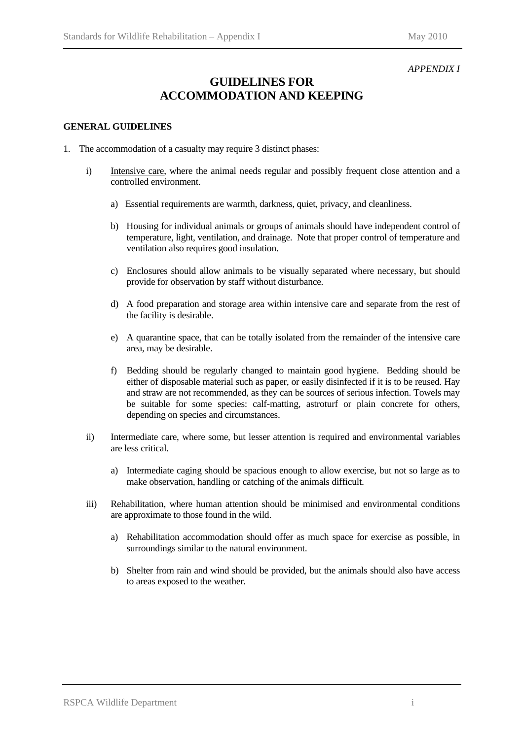#### *APPENDIX I*

## **GUIDELINES FOR ACCOMMODATION AND KEEPING**

#### **GENERAL GUIDELINES**

- 1. The accommodation of a casualty may require 3 distinct phases:
	- i) Intensive care, where the animal needs regular and possibly frequent close attention and a controlled environment.
		- a) Essential requirements are warmth, darkness, quiet, privacy, and cleanliness.
		- b) Housing for individual animals or groups of animals should have independent control of temperature, light, ventilation, and drainage. Note that proper control of temperature and ventilation also requires good insulation.
		- c) Enclosures should allow animals to be visually separated where necessary, but should provide for observation by staff without disturbance.
		- d) A food preparation and storage area within intensive care and separate from the rest of the facility is desirable.
		- e) A quarantine space, that can be totally isolated from the remainder of the intensive care area, may be desirable.
		- f) Bedding should be regularly changed to maintain good hygiene. Bedding should be either of disposable material such as paper, or easily disinfected if it is to be reused. Hay and straw are not recommended, as they can be sources of serious infection. Towels may be suitable for some species: calf-matting, astroturf or plain concrete for others, depending on species and circumstances.
	- ii) Intermediate care, where some, but lesser attention is required and environmental variables are less critical.
		- a) Intermediate caging should be spacious enough to allow exercise, but not so large as to make observation, handling or catching of the animals difficult.
	- iii) Rehabilitation, where human attention should be minimised and environmental conditions are approximate to those found in the wild.
		- a) Rehabilitation accommodation should offer as much space for exercise as possible, in surroundings similar to the natural environment.
		- b) Shelter from rain and wind should be provided, but the animals should also have access to areas exposed to the weather.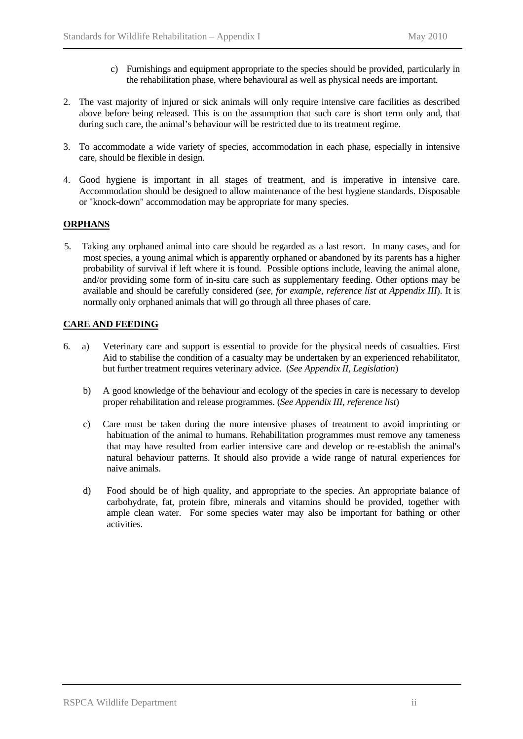- c) Furnishings and equipment appropriate to the species should be provided, particularly in the rehabilitation phase, where behavioural as well as physical needs are important.
- 2. The vast majority of injured or sick animals will only require intensive care facilities as described above before being released. This is on the assumption that such care is short term only and, that during such care, the animal's behaviour will be restricted due to its treatment regime.
- 3. To accommodate a wide variety of species, accommodation in each phase, especially in intensive care, should be flexible in design.
- 4. Good hygiene is important in all stages of treatment, and is imperative in intensive care. Accommodation should be designed to allow maintenance of the best hygiene standards. Disposable or "knock-down" accommodation may be appropriate for many species.

#### **ORPHANS**

5. Taking any orphaned animal into care should be regarded as a last resort. In many cases, and for most species, a young animal which is apparently orphaned or abandoned by its parents has a higher probability of survival if left where it is found. Possible options include, leaving the animal alone, and/or providing some form of in-situ care such as supplementary feeding. Other options may be available and should be carefully considered (*see, for example, reference list at Appendix III*). It is normally only orphaned animals that will go through all three phases of care.

#### **CARE AND FEEDING**

- 6. a) Veterinary care and support is essential to provide for the physical needs of casualties. First Aid to stabilise the condition of a casualty may be undertaken by an experienced rehabilitator, but further treatment requires veterinary advice. (*See Appendix II, Legislation*)
	- b) A good knowledge of the behaviour and ecology of the species in care is necessary to develop proper rehabilitation and release programmes. (*See Appendix III, reference list*)
	- c) Care must be taken during the more intensive phases of treatment to avoid imprinting or habituation of the animal to humans. Rehabilitation programmes must remove any tameness that may have resulted from earlier intensive care and develop or re-establish the animal's natural behaviour patterns. It should also provide a wide range of natural experiences for naive animals.
	- d) Food should be of high quality, and appropriate to the species. An appropriate balance of carbohydrate, fat, protein fibre, minerals and vitamins should be provided, together with ample clean water. For some species water may also be important for bathing or other activities.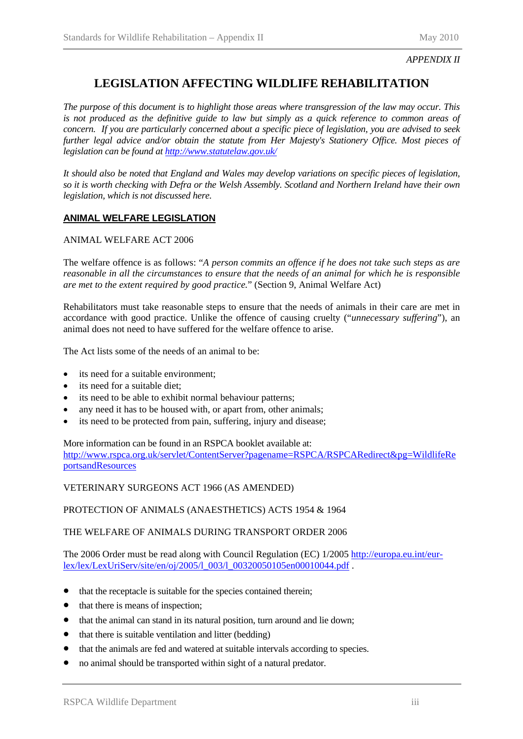### **LEGISLATION AFFECTING WILDLIFE REHABILITATION**

*The purpose of this document is to highlight those areas where transgression of the law may occur. This is not produced as the definitive guide to law but simply as a quick reference to common areas of concern. If you are particularly concerned about a specific piece of legislation, you are advised to seek further legal advice and/or obtain the statute from Her Majesty's Stationery Office. Most pieces of legislation can be found at <http://www.statutelaw.gov.uk/>*

*It should also be noted that England and Wales may develop variations on specific pieces of legislation, so it is worth checking with Defra or the Welsh Assembly. Scotland and Northern Ireland have their own legislation, which is not discussed here.* 

#### **ANIMAL WELFARE LEGISLATION**

#### ANIMAL WELFARE ACT 2006

The welfare offence is as follows: "*A person commits an offence if he does not take such steps as are reasonable in all the circumstances to ensure that the needs of an animal for which he is responsible are met to the extent required by good practice.*" (Section 9, Animal Welfare Act)

Rehabilitators must take reasonable steps to ensure that the needs of animals in their care are met in accordance with good practice. Unlike the offence of causing cruelty ("*unnecessary suffering*"), an animal does not need to have suffered for the welfare offence to arise.

The Act lists some of the needs of an animal to be:

- its need for a suitable environment:
- its need for a suitable diet;
- its need to be able to exhibit normal behaviour patterns;
- any need it has to be housed with, or apart from, other animals;
- its need to be protected from pain, suffering, injury and disease;

More information can be found in an RSPCA booklet available at: [http://www.rspca.org.uk/servlet/ContentServer?pagename=RSPCA/RSPCARedirect&pg=WildlifeRe](http://www.rspca.org.uk/servlet/ContentServer?pagename=RSPCA/RSPCARedirect&pg=WildlifeReportsandResources) [portsandResources](http://www.rspca.org.uk/servlet/ContentServer?pagename=RSPCA/RSPCARedirect&pg=WildlifeReportsandResources)

VETERINARY SURGEONS ACT 1966 (AS AMENDED)

PROTECTION OF ANIMALS (ANAESTHETICS) ACTS 1954 & 1964

#### THE WELFARE OF ANIMALS DURING TRANSPORT ORDER 2006

The 2006 Order must be read along with Council Regulation (EC) 1/2005 [http://europa.eu.int/eur](http://europa.eu.int/eur-lex/lex/LexUriServ/site/en/oj/2005/l_003/l_00320050105en00010044.pdf)[lex/lex/LexUriServ/site/en/oj/2005/l\\_003/l\\_00320050105en00010044.pdf](http://europa.eu.int/eur-lex/lex/LexUriServ/site/en/oj/2005/l_003/l_00320050105en00010044.pdf) .

- that the receptacle is suitable for the species contained therein;
- that there is means of inspection;
- that the animal can stand in its natural position, turn around and lie down;
- that there is suitable ventilation and litter (bedding)
- that the animals are fed and watered at suitable intervals according to species.
- no animal should be transported within sight of a natural predator.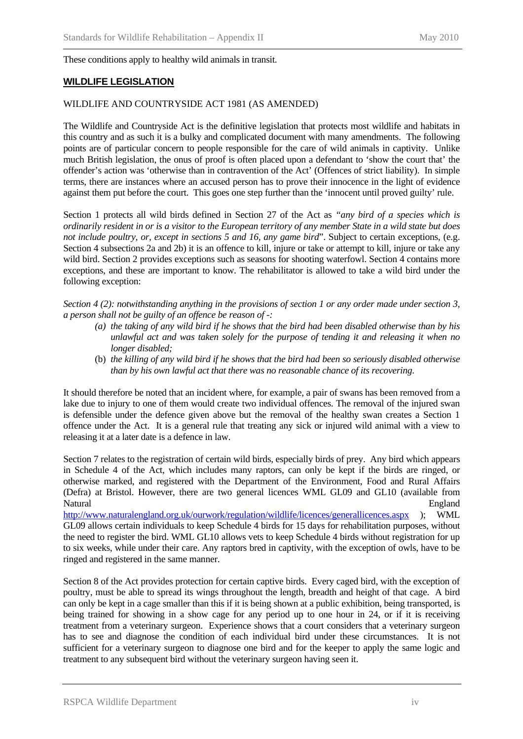#### These conditions apply to healthy wild animals in transit.

#### **WILDLIFE LEGISLATION**

#### WILDLIFE AND COUNTRYSIDE ACT 1981 (AS AMENDED)

The Wildlife and Countryside Act is the definitive legislation that protects most wildlife and habitats in this country and as such it is a bulky and complicated document with many amendments. The following points are of particular concern to people responsible for the care of wild animals in captivity. Unlike much British legislation, the onus of proof is often placed upon a defendant to 'show the court that' the offender's action was 'otherwise than in contravention of the Act' (Offences of strict liability). In simple terms, there are instances where an accused person has to prove their innocence in the light of evidence against them put before the court. This goes one step further than the 'innocent until proved guilty' rule.

Section 1 protects all wild birds defined in Section 27 of the Act as *"any bird of a species which is ordinarily resident in or is a visitor to the European territory of any member State in a wild state but does not include poultry, or, except in sections 5 and 16, any game bird*". Subject to certain exceptions, (e.g. Section 4 subsections 2a and 2b) it is an offence to kill, injure or take or attempt to kill, injure or take any wild bird. Section 2 provides exceptions such as seasons for shooting waterfowl. Section 4 contains more exceptions, and these are important to know. The rehabilitator is allowed to take a wild bird under the following exception:

*Section 4 (2): notwithstanding anything in the provisions of section 1 or any order made under section 3, a person shall not be guilty of an offence be reason of -:* 

- *(a) the taking of any wild bird if he shows that the bird had been disabled otherwise than by his unlawful act and was taken solely for the purpose of tending it and releasing it when no longer disabled;*
- (b) *the killing of any wild bird if he shows that the bird had been so seriously disabled otherwise than by his own lawful act that there was no reasonable chance of its recovering.*

It should therefore be noted that an incident where, for example, a pair of swans has been removed from a lake due to injury to one of them would create two individual offences. The removal of the injured swan is defensible under the defence given above but the removal of the healthy swan creates a Section 1 offence under the Act. It is a general rule that treating any sick or injured wild animal with a view to releasing it at a later date is a defence in law.

Section 7 relates to the registration of certain wild birds, especially birds of prey. Any bird which appears in Schedule 4 of the Act, which includes many raptors, can only be kept if the birds are ringed, or otherwise marked, and registered with the Department of the Environment, Food and Rural Affairs (Defra) at Bristol. However, there are two general licences WML GL09 and GL10 (available from Natural England

<http://www.naturalengland.org.uk/ourwork/regulation/wildlife/licences/generallicences.aspx> ); WML GL09 allows certain individuals to keep Schedule 4 birds for 15 days for rehabilitation purposes, without the need to register the bird. WML GL10 allows vets to keep Schedule 4 birds without registration for up to six weeks, while under their care. Any raptors bred in captivity, with the exception of owls, have to be ringed and registered in the same manner.

Section 8 of the Act provides protection for certain captive birds. Every caged bird, with the exception of poultry, must be able to spread its wings throughout the length, breadth and height of that cage. A bird can only be kept in a cage smaller than this if it is being shown at a public exhibition, being transported, is being trained for showing in a show cage for any period up to one hour in 24, or if it is receiving treatment from a veterinary surgeon. Experience shows that a court considers that a veterinary surgeon has to see and diagnose the condition of each individual bird under these circumstances. It is not sufficient for a veterinary surgeon to diagnose one bird and for the keeper to apply the same logic and treatment to any subsequent bird without the veterinary surgeon having seen it.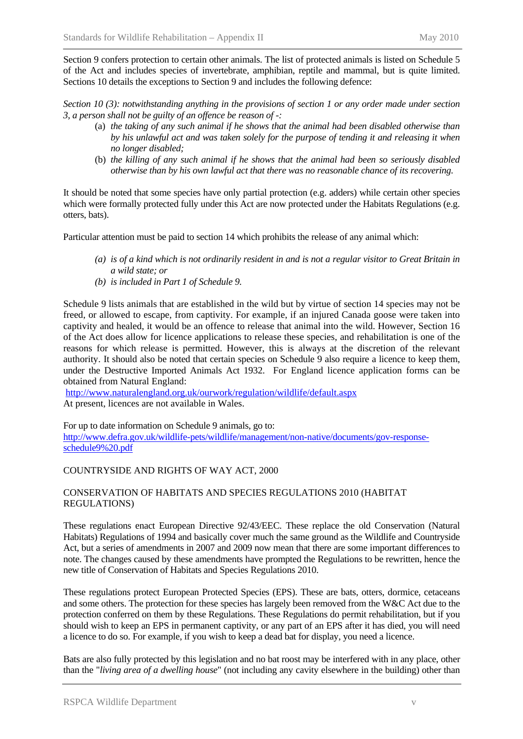Section 9 confers protection to certain other animals. The list of protected animals is listed on Schedule 5 of the Act and includes species of invertebrate, amphibian, reptile and mammal, but is quite limited. Sections 10 details the exceptions to Section 9 and includes the following defence:

*Section 10 (3): notwithstanding anything in the provisions of section 1 or any order made under section 3, a person shall not be guilty of an offence be reason of -:* 

- (a) *the taking of any such animal if he shows that the animal had been disabled otherwise than by his unlawful act and was taken solely for the purpose of tending it and releasing it when no longer disabled;*
- (b) *the killing of any such animal if he shows that the animal had been so seriously disabled otherwise than by his own lawful act that there was no reasonable chance of its recovering.*

It should be noted that some species have only partial protection (e.g. adders) while certain other species which were formally protected fully under this Act are now protected under the Habitats Regulations (e.g. otters, bats).

Particular attention must be paid to section 14 which prohibits the release of any animal which:

- *(a) is of a kind which is not ordinarily resident in and is not a regular visitor to Great Britain in a wild state; or*
- *(b) is included in Part 1 of Schedule 9.*

Schedule 9 lists animals that are established in the wild but by virtue of section 14 species may not be freed, or allowed to escape, from captivity. For example, if an injured Canada goose were taken into captivity and healed, it would be an offence to release that animal into the wild. However, Section 16 of the Act does allow for licence applications to release these species, and rehabilitation is one of the reasons for which release is permitted. However, this is always at the discretion of the relevant authority. It should also be noted that certain species on Schedule 9 also require a licence to keep them, under the Destructive Imported Animals Act 1932. For England licence application forms can be obtained from Natural England:

<http://www.naturalengland.org.uk/ourwork/regulation/wildlife/default.aspx> At present, licences are not available in Wales.

For up to date information on Schedule 9 animals, go to: [http://www.defra.gov.uk/wildlife-pets/wildlife/management/non-native/documents/gov-response](http://www.defra.gov.uk/wildlife-pets/wildlife/management/non-native/documents/gov-response-schedule9%20.pdf)[schedule9%20.pdf](http://www.defra.gov.uk/wildlife-pets/wildlife/management/non-native/documents/gov-response-schedule9%20.pdf)

#### COUNTRYSIDE AND RIGHTS OF WAY ACT, 2000

#### CONSERVATION OF HABITATS AND SPECIES REGULATIONS 2010 (HABITAT REGULATIONS)

These regulations enact European Directive 92/43/EEC. These replace the old Conservation (Natural Habitats) Regulations of 1994 and basically cover much the same ground as the Wildlife and Countryside Act, but a series of amendments in 2007 and 2009 now mean that there are some important differences to note. The changes caused by these amendments have prompted the Regulations to be rewritten, hence the new title of Conservation of Habitats and Species Regulations 2010.

These regulations protect European Protected Species (EPS). These are bats, otters, dormice, cetaceans and some others. The protection for these species has largely been removed from the W&C Act due to the protection conferred on them by these Regulations. These Regulations do permit rehabilitation, but if you should wish to keep an EPS in permanent captivity, or any part of an EPS after it has died, you will need a licence to do so. For example, if you wish to keep a dead bat for display, you need a licence.

Bats are also fully protected by this legislation and no bat roost may be interfered with in any place, other than the "*living area of a dwelling house*" (not including any cavity elsewhere in the building) other than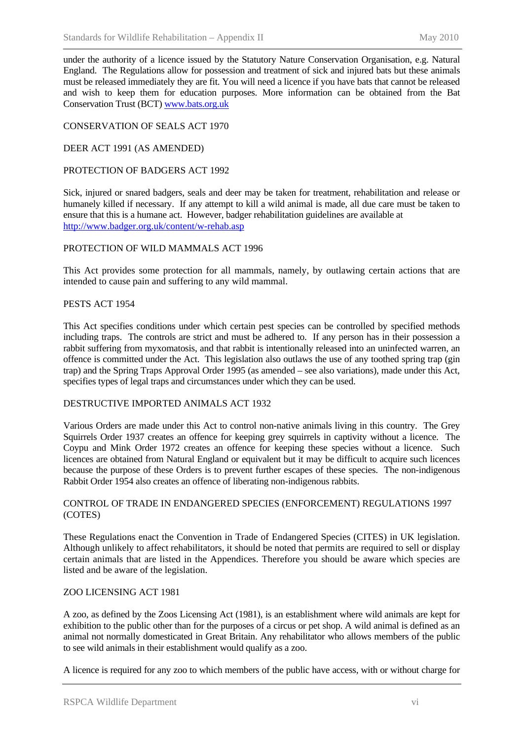under the authority of a licence issued by the Statutory Nature Conservation Organisation, e.g. Natural England. The Regulations allow for possession and treatment of sick and injured bats but these animals must be released immediately they are fit. You will need a licence if you have bats that cannot be released and wish to keep them for education purposes. More information can be obtained from the Bat Conservation Trust (BCT) [www.bats.org.uk](http://www.bats.org.uk/)

#### CONSERVATION OF SEALS ACT 1970

#### DEER ACT 1991 (AS AMENDED)

#### PROTECTION OF BADGERS ACT 1992

Sick, injured or snared badgers, seals and deer may be taken for treatment, rehabilitation and release or humanely killed if necessary. If any attempt to kill a wild animal is made, all due care must be taken to ensure that this is a humane act. However, badger rehabilitation guidelines are available at <http://www.badger.org.uk/content/w-rehab.asp>

#### PROTECTION OF WILD MAMMALS ACT 1996

This Act provides some protection for all mammals, namely, by outlawing certain actions that are intended to cause pain and suffering to any wild mammal.

#### PESTS ACT 1954

This Act specifies conditions under which certain pest species can be controlled by specified methods including traps. The controls are strict and must be adhered to. If any person has in their possession a rabbit suffering from myxomatosis, and that rabbit is intentionally released into an uninfected warren, an offence is committed under the Act. This legislation also outlaws the use of any toothed spring trap (gin trap) and the Spring Traps Approval Order 1995 (as amended – see also variations), made under this Act, specifies types of legal traps and circumstances under which they can be used.

#### DESTRUCTIVE IMPORTED ANIMALS ACT 1932

Various Orders are made under this Act to control non-native animals living in this country. The Grey Squirrels Order 1937 creates an offence for keeping grey squirrels in captivity without a licence. The Coypu and Mink Order 1972 creates an offence for keeping these species without a licence. Such licences are obtained from Natural England or equivalent but it may be difficult to acquire such licences because the purpose of these Orders is to prevent further escapes of these species. The non-indigenous Rabbit Order 1954 also creates an offence of liberating non-indigenous rabbits.

#### CONTROL OF TRADE IN ENDANGERED SPECIES (ENFORCEMENT) REGULATIONS 1997 (COTES)

These Regulations enact the Convention in Trade of Endangered Species (CITES) in UK legislation. Although unlikely to affect rehabilitators, it should be noted that permits are required to sell or display certain animals that are listed in the Appendices. Therefore you should be aware which species are listed and be aware of the legislation.

#### ZOO LICENSING ACT 1981

A zoo, as defined by the Zoos Licensing Act (1981), is an establishment where wild animals are kept for exhibition to the public other than for the purposes of a circus or pet shop. A wild animal is defined as an animal not normally domesticated in Great Britain. Any rehabilitator who allows members of the public to see wild animals in their establishment would qualify as a zoo.

A licence is required for any zoo to which members of the public have access, with or without charge for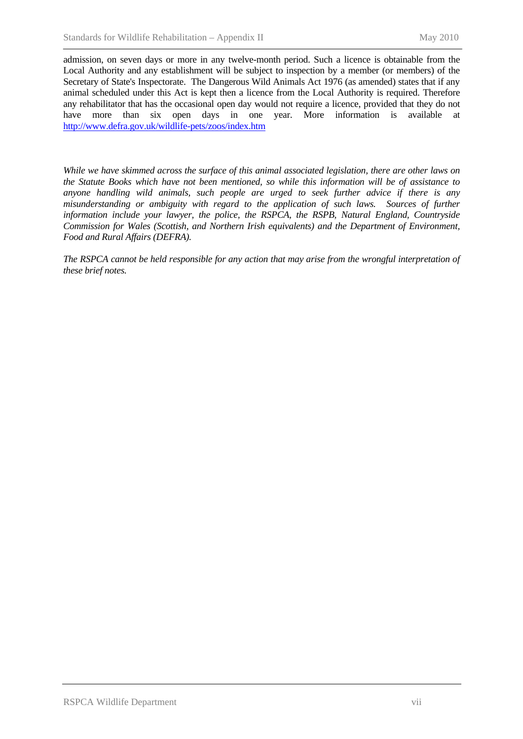admission, on seven days or more in any twelve-month period. Such a licence is obtainable from the Local Authority and any establishment will be subject to inspection by a member (or members) of the Secretary of State's Inspectorate. The Dangerous Wild Animals Act 1976 (as amended) states that if any animal scheduled under this Act is kept then a licence from the Local Authority is required. Therefore any rehabilitator that has the occasional open day would not require a licence, provided that they do not have more than six open days in one year. More information is available at <http://www.defra.gov.uk/wildlife-pets/zoos/index.htm>

*While we have skimmed across the surface of this animal associated legislation, there are other laws on the Statute Books which have not been mentioned, so while this information will be of assistance to anyone handling wild animals, such people are urged to seek further advice if there is any misunderstanding or ambiguity with regard to the application of such laws. Sources of further information include your lawyer, the police, the RSPCA, the RSPB, Natural England, Countryside Commission for Wales (Scottish, and Northern Irish equivalents) and the Department of Environment, Food and Rural Affairs (DEFRA).* 

*The RSPCA cannot be held responsible for any action that may arise from the wrongful interpretation of these brief notes.*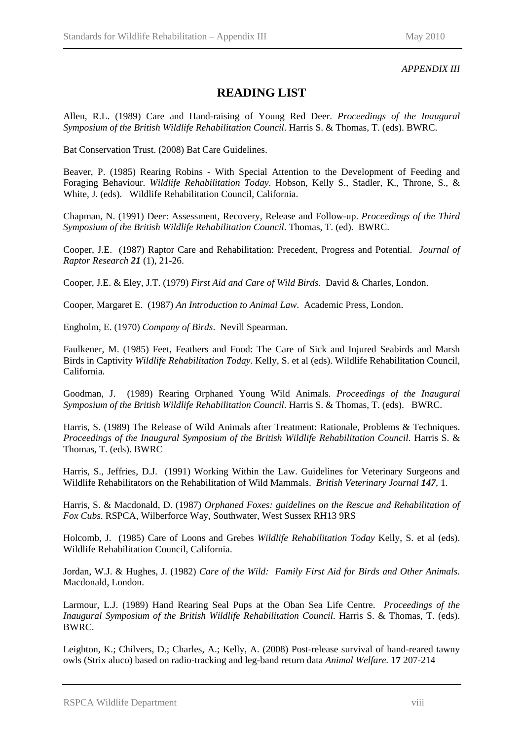#### *APPENDIX III*

### **READING LIST**

Allen, R.L. (1989) Care and Hand-raising of Young Red Deer. *Proceedings of the Inaugural Symposium of the British Wildlife Rehabilitation Council*. Harris S. & Thomas, T. (eds). BWRC.

Bat Conservation Trust. (2008) Bat Care Guidelines.

Beaver, P. (1985) Rearing Robins - With Special Attention to the Development of Feeding and Foraging Behaviour. *Wildlife Rehabilitation Today*. Hobson, Kelly S., Stadler, K., Throne, S., & White, J. (eds). Wildlife Rehabilitation Council, California.

Chapman, N. (1991) Deer: Assessment, Recovery, Release and Follow-up. *Proceedings of the Third Symposium of the British Wildlife Rehabilitation Council*. Thomas, T. (ed). BWRC.

Cooper, J.E. (1987) Raptor Care and Rehabilitation: Precedent, Progress and Potential. *Journal of Raptor Research 21* (1), 21-26.

Cooper, J.E. & Eley, J.T. (1979) *First Aid and Care of Wild Birds*. David & Charles, London.

Cooper, Margaret E. (1987) *An Introduction to Animal Law*. Academic Press, London.

Engholm, E. (1970) *Company of Birds*. Nevill Spearman.

Faulkener, M. (1985) Feet, Feathers and Food: The Care of Sick and Injured Seabirds and Marsh Birds in Captivity *Wildlife Rehabilitation Today*. Kelly, S. et al (eds). Wildlife Rehabilitation Council, California.

Goodman, J. (1989) Rearing Orphaned Young Wild Animals. *Proceedings of the Inaugural Symposium of the British Wildlife Rehabilitation Council*. Harris S. & Thomas, T. (eds). BWRC.

Harris, S. (1989) The Release of Wild Animals after Treatment: Rationale, Problems & Techniques. *Proceedings of the Inaugural Symposium of the British Wildlife Rehabilitation Council*. Harris S. & Thomas, T. (eds). BWRC

Harris, S., Jeffries, D.J. (1991) Working Within the Law. Guidelines for Veterinary Surgeons and Wildlife Rehabilitators on the Rehabilitation of Wild Mammals. *British Veterinary Journal 147*, 1.

Harris, S. & Macdonald, D. (1987) *Orphaned Foxes: guidelines on the Rescue and Rehabilitation of Fox Cubs*. RSPCA, Wilberforce Way, Southwater, West Sussex RH13 9RS

Holcomb, J. (1985) Care of Loons and Grebes *Wildlife Rehabilitation Today* Kelly, S. et al (eds). Wildlife Rehabilitation Council, California.

Jordan, W.J. & Hughes, J. (1982) *Care of the Wild: Family First Aid for Birds and Other Animals*. Macdonald, London.

Larmour, L.J. (1989) Hand Rearing Seal Pups at the Oban Sea Life Centre. *Proceedings of the Inaugural Symposium of the British Wildlife Rehabilitation Council*. Harris S. & Thomas, T. (eds). BWRC.

Leighton, K.; Chilvers, D.; Charles, A.; Kelly, A. (2008) Post-release survival of hand-reared tawny owls (Strix aluco) based on radio-tracking and leg-band return data *Animal Welfare.* **17** 207-214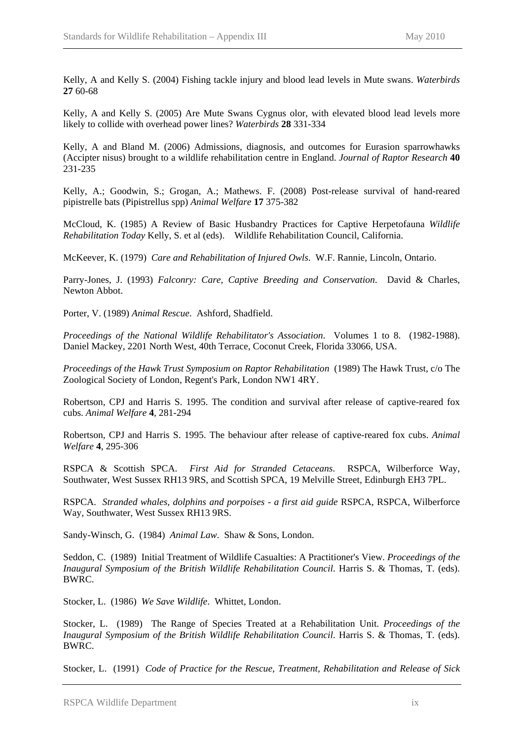Kelly, A and Kelly S. (2004) Fishing tackle injury and blood lead levels in Mute swans. *Waterbirds*  **27** 60-68

Kelly, A and Kelly S. (2005) Are Mute Swans Cygnus olor, with elevated blood lead levels more likely to collide with overhead power lines? *Waterbirds* **28** 331-334

Kelly, A and Bland M. (2006) Admissions, diagnosis, and outcomes for Eurasion sparrowhawks (Accipter nisus) brought to a wildlife rehabilitation centre in England. *Journal of Raptor Research* **40** 231-235

Kelly, A.; Goodwin, S.; Grogan, A.; Mathews. F. (2008) Post-release survival of hand-reared pipistrelle bats (Pipistrellus spp) *Animal Welfare* **17** 375-382

McCloud, K. (1985) A Review of Basic Husbandry Practices for Captive Herpetofauna *Wildlife Rehabilitation Today* Kelly, S. et al (eds). Wildlife Rehabilitation Council, California.

McKeever, K. (1979) *Care and Rehabilitation of Injured Owls*. W.F. Rannie, Lincoln, Ontario.

Parry-Jones, J. (1993) *Falconry: Care, Captive Breeding and Conservation*. David & Charles, Newton Abbot.

Porter, V. (1989) *Animal Rescue*. Ashford, Shadfield.

*Proceedings of the National Wildlife Rehabilitator's Association*. Volumes 1 to 8. (1982-1988). Daniel Mackey, 2201 North West, 40th Terrace, Coconut Creek, Florida 33066, USA.

*Proceedings of the Hawk Trust Symposium on Raptor Rehabilitation* (1989) The Hawk Trust, c/o The Zoological Society of London, Regent's Park, London NW1 4RY.

Robertson, CPJ and Harris S. 1995. The condition and survival after release of captive-reared fox cubs. *Animal Welfare* **4**, 281-294

Robertson, CPJ and Harris S. 1995. The behaviour after release of captive-reared fox cubs. *Animal Welfare* **4**, 295-306

RSPCA & Scottish SPCA. *First Aid for Stranded Cetaceans*. RSPCA, Wilberforce Way, Southwater, West Sussex RH13 9RS, and Scottish SPCA, 19 Melville Street, Edinburgh EH3 7PL.

RSPCA. *Stranded whales, dolphins and porpoises - a first aid guide* RSPCA, RSPCA, Wilberforce Way, Southwater, West Sussex RH13 9RS.

Sandy-Winsch, G. (1984) *Animal Law*. Shaw & Sons, London.

Seddon, C. (1989) Initial Treatment of Wildlife Casualties: A Practitioner's View. *Proceedings of the Inaugural Symposium of the British Wildlife Rehabilitation Council*. Harris S. & Thomas, T. (eds). BWRC.

Stocker, L. (1986) *We Save Wildlife*. Whittet, London.

Stocker, L. (1989) The Range of Species Treated at a Rehabilitation Unit. *Proceedings of the Inaugural Symposium of the British Wildlife Rehabilitation Council*. Harris S. & Thomas, T. (eds). BWRC.

Stocker, L. (1991) *Code of Practice for the Rescue, Treatment, Rehabilitation and Release of Sick*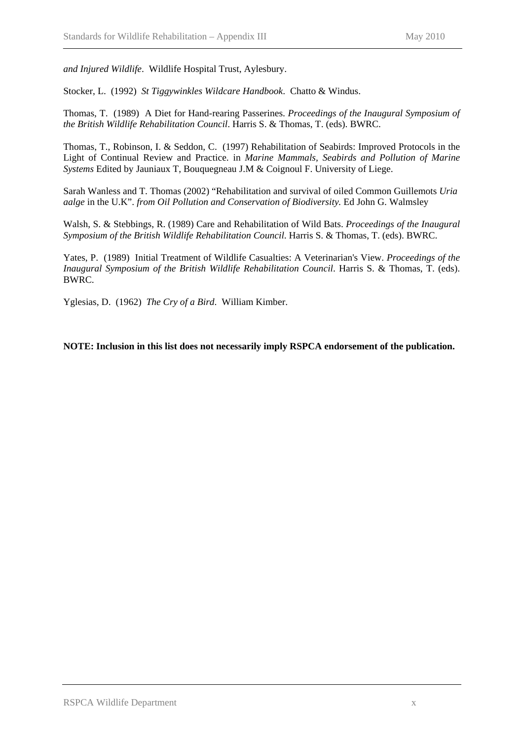*and Injured Wildlife*. Wildlife Hospital Trust, Aylesbury.

Stocker, L. (1992) *St Tiggywinkles Wildcare Handbook*. Chatto & Windus.

Thomas, T. (1989) A Diet for Hand-rearing Passerines. *Proceedings of the Inaugural Symposium of the British Wildlife Rehabilitation Council*. Harris S. & Thomas, T. (eds). BWRC.

Thomas, T., Robinson, I. & Seddon, C. (1997) Rehabilitation of Seabirds: Improved Protocols in the Light of Continual Review and Practice. in *Marine Mammals, Seabirds and Pollution of Marine Systems* Edited by Jauniaux T, Bouquegneau J.M & Coignoul F. University of Liege.

Sarah Wanless and T. Thomas (2002) "Rehabilitation and survival of oiled Common Guillemots *Uria aalge* in the U.K". *from Oil Pollution and Conservation of Biodiversity.* Ed John G. Walmsley

Walsh, S. & Stebbings, R. (1989) Care and Rehabilitation of Wild Bats. *Proceedings of the Inaugural Symposium of the British Wildlife Rehabilitation Council*. Harris S. & Thomas, T. (eds). BWRC.

Yates, P. (1989) Initial Treatment of Wildlife Casualties: A Veterinarian's View. *Proceedings of the Inaugural Symposium of the British Wildlife Rehabilitation Council*. Harris S. & Thomas, T. (eds). BWRC.

Yglesias, D. (1962) *The Cry of a Bird*. William Kimber.

**NOTE: Inclusion in this list does not necessarily imply RSPCA endorsement of the publication.**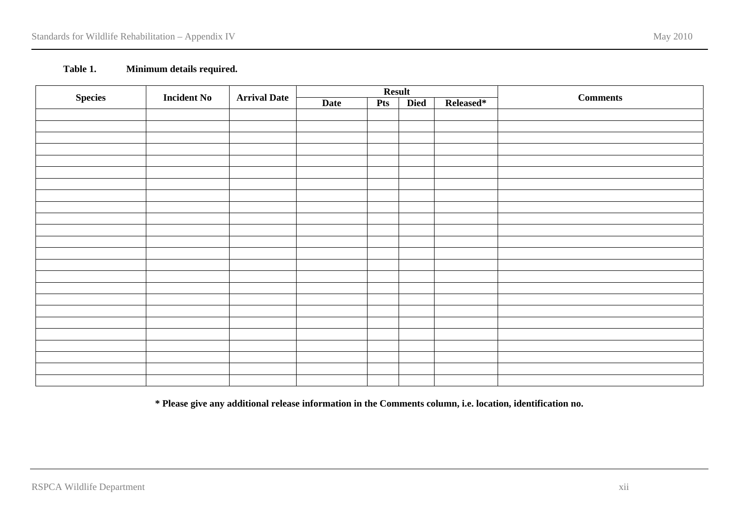#### **Table 1. Minimum details required.**

|                                      |                     |             | <b>Result</b> |             |           |                 |  |
|--------------------------------------|---------------------|-------------|---------------|-------------|-----------|-----------------|--|
| <b>Species</b><br><b>Incident No</b> | <b>Arrival Date</b> | <b>Date</b> | <b>Pts</b>    | <b>Died</b> | Released* | <b>Comments</b> |  |
|                                      |                     |             |               |             |           |                 |  |
|                                      |                     |             |               |             |           |                 |  |
|                                      |                     |             |               |             |           |                 |  |
|                                      |                     |             |               |             |           |                 |  |
|                                      |                     |             |               |             |           |                 |  |
|                                      |                     |             |               |             |           |                 |  |
|                                      |                     |             |               |             |           |                 |  |
|                                      |                     |             |               |             |           |                 |  |
|                                      |                     |             |               |             |           |                 |  |
|                                      |                     |             |               |             |           |                 |  |
|                                      |                     |             |               |             |           |                 |  |
|                                      |                     |             |               |             |           |                 |  |
|                                      |                     |             |               |             |           |                 |  |
|                                      |                     |             |               |             |           |                 |  |
|                                      |                     |             |               |             |           |                 |  |
|                                      |                     |             |               |             |           |                 |  |
|                                      |                     |             |               |             |           |                 |  |
|                                      |                     |             |               |             |           |                 |  |
|                                      |                     |             |               |             |           |                 |  |
|                                      |                     |             |               |             |           |                 |  |
|                                      |                     |             |               |             |           |                 |  |
|                                      |                     |             |               |             |           |                 |  |
|                                      |                     |             |               |             |           |                 |  |
|                                      |                     |             |               |             |           |                 |  |

**\* Please give any additional release information in the Comments column, i.e. location, identification no.**